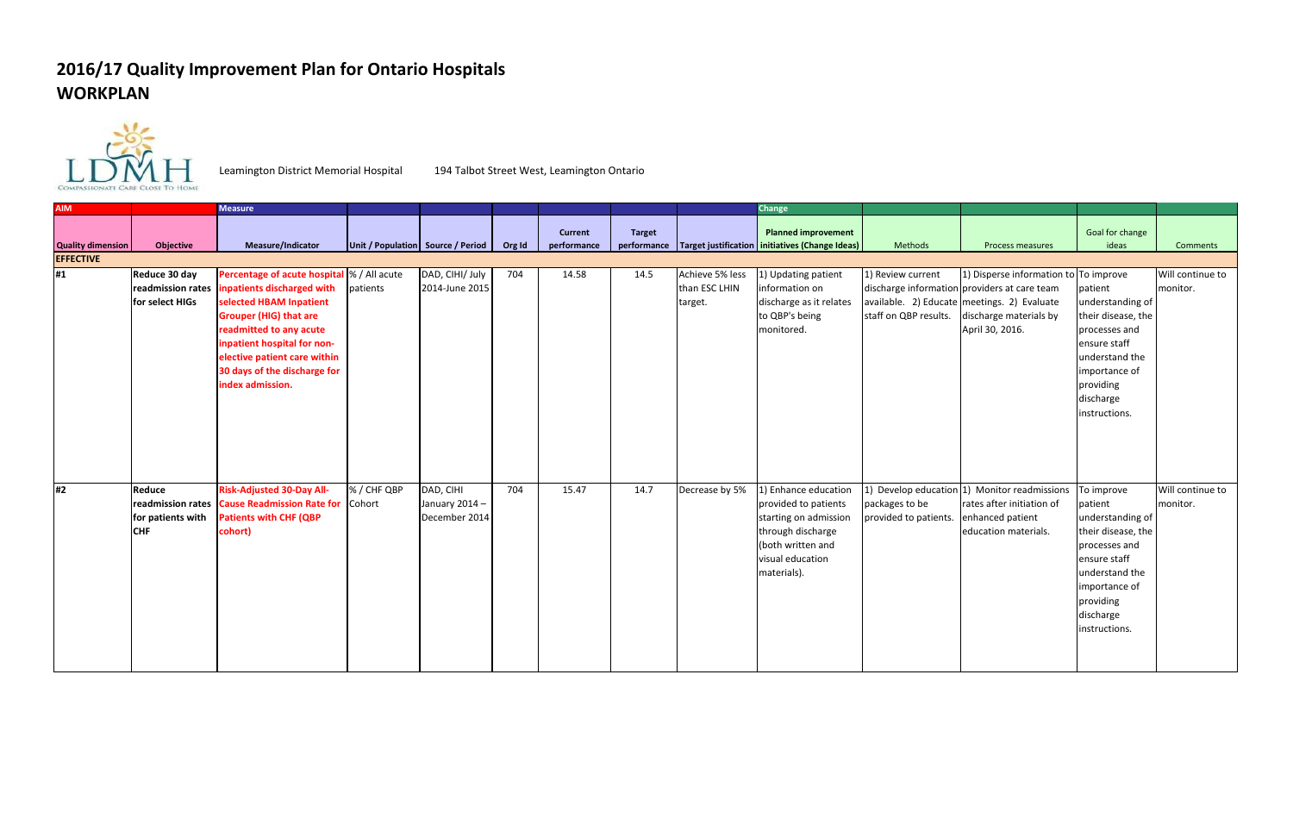## **2016/17 Quality Improvement Plan for Ontario Hospitals WORKPLAN**



Leamington District Memorial Hospital 194 Talbot Street West, Leamington Ontario

| <b>AIM</b>               |                   | <b>Measure</b>                              |             |                                   |        |                |               |                 | Change                                                          |                       |                                              |                    |                  |
|--------------------------|-------------------|---------------------------------------------|-------------|-----------------------------------|--------|----------------|---------------|-----------------|-----------------------------------------------------------------|-----------------------|----------------------------------------------|--------------------|------------------|
|                          |                   |                                             |             |                                   |        |                |               |                 |                                                                 |                       |                                              |                    |                  |
|                          |                   |                                             |             |                                   |        | <b>Current</b> | <b>Target</b> |                 | <b>Planned improvement</b>                                      |                       |                                              | Goal for change    |                  |
| <b>Quality dimension</b> | Objective         | Measure/Indicator                           |             | Unit / Population Source / Period | Org Id | performance    |               |                 | performance   Target justification   initiatives (Change Ideas) | Methods               | Process measures                             | ideas              | <b>Comments</b>  |
| <b>EFFECTIVE</b>         |                   |                                             |             |                                   |        |                |               |                 |                                                                 |                       |                                              |                    |                  |
| #1                       | Reduce 30 day     | Percentage of acute hospital  % / All acute |             | DAD, CIHI/ July                   | 704    | 14.58          | 14.5          | Achieve 5% less | 1) Updating patient                                             | 1) Review current     | 1) Disperse information to To improve        |                    | Will continue to |
|                          | readmission rates | inpatients discharged with                  | patients    | 2014-June 2015                    |        |                |               | than ESC LHIN   | information on                                                  |                       | discharge information providers at care team | patient            | monitor.         |
|                          | for select HIGs   | selected HBAM Inpatient                     |             |                                   |        |                |               | target.         | discharge as it relates                                         |                       | available. 2) Educate meetings. 2) Evaluate  | understanding of   |                  |
|                          |                   | <b>Grouper (HIG) that are</b>               |             |                                   |        |                |               |                 | to QBP's being                                                  | staff on QBP results. | discharge materials by                       | their disease, the |                  |
|                          |                   | readmitted to any acute                     |             |                                   |        |                |               |                 | monitored.                                                      |                       | April 30, 2016.                              | processes and      |                  |
|                          |                   | inpatient hospital for non-                 |             |                                   |        |                |               |                 |                                                                 |                       |                                              | ensure staff       |                  |
|                          |                   | elective patient care within                |             |                                   |        |                |               |                 |                                                                 |                       |                                              | understand the     |                  |
|                          |                   | 30 days of the discharge for                |             |                                   |        |                |               |                 |                                                                 |                       |                                              | importance of      |                  |
|                          |                   | index admission.                            |             |                                   |        |                |               |                 |                                                                 |                       |                                              | providing          |                  |
|                          |                   |                                             |             |                                   |        |                |               |                 |                                                                 |                       |                                              | discharge          |                  |
|                          |                   |                                             |             |                                   |        |                |               |                 |                                                                 |                       |                                              | instructions.      |                  |
|                          |                   |                                             |             |                                   |        |                |               |                 |                                                                 |                       |                                              |                    |                  |
|                          |                   |                                             |             |                                   |        |                |               |                 |                                                                 |                       |                                              |                    |                  |
|                          |                   |                                             |             |                                   |        |                |               |                 |                                                                 |                       |                                              |                    |                  |
|                          |                   |                                             |             |                                   |        |                |               |                 |                                                                 |                       |                                              |                    |                  |
| #2                       | Reduce            | <b>Risk-Adjusted 30-Day All-</b>            | % / CHF QBP | DAD, CIHI                         | 704    | 15.47          | 14.7          | Decrease by 5%  | 1) Enhance education                                            |                       | 1) Develop education 1) Monitor readmissions | To improve         | Will continue to |
|                          | readmission rates | <b>Cause Readmission Rate for Cohort</b>    |             | January 2014 -                    |        |                |               |                 | provided to patients                                            | packages to be        | rates after initiation of                    | patient            | monitor.         |
|                          | for patients with | <b>Patients with CHF (QBP</b>               |             | December 2014                     |        |                |               |                 | starting on admission                                           | provided to patients. | enhanced patient                             | understanding of   |                  |
|                          | <b>CHF</b>        | cohort)                                     |             |                                   |        |                |               |                 | through discharge                                               |                       | education materials.                         | their disease, the |                  |
|                          |                   |                                             |             |                                   |        |                |               |                 | (both written and                                               |                       |                                              | processes and      |                  |
|                          |                   |                                             |             |                                   |        |                |               |                 | visual education                                                |                       |                                              | ensure staff       |                  |
|                          |                   |                                             |             |                                   |        |                |               |                 | materials).                                                     |                       |                                              | understand the     |                  |
|                          |                   |                                             |             |                                   |        |                |               |                 |                                                                 |                       |                                              | importance of      |                  |
|                          |                   |                                             |             |                                   |        |                |               |                 |                                                                 |                       |                                              | providing          |                  |
|                          |                   |                                             |             |                                   |        |                |               |                 |                                                                 |                       |                                              | discharge          |                  |
|                          |                   |                                             |             |                                   |        |                |               |                 |                                                                 |                       |                                              | instructions.      |                  |
|                          |                   |                                             |             |                                   |        |                |               |                 |                                                                 |                       |                                              |                    |                  |
|                          |                   |                                             |             |                                   |        |                |               |                 |                                                                 |                       |                                              |                    |                  |
|                          |                   |                                             |             |                                   |        |                |               |                 |                                                                 |                       |                                              |                    |                  |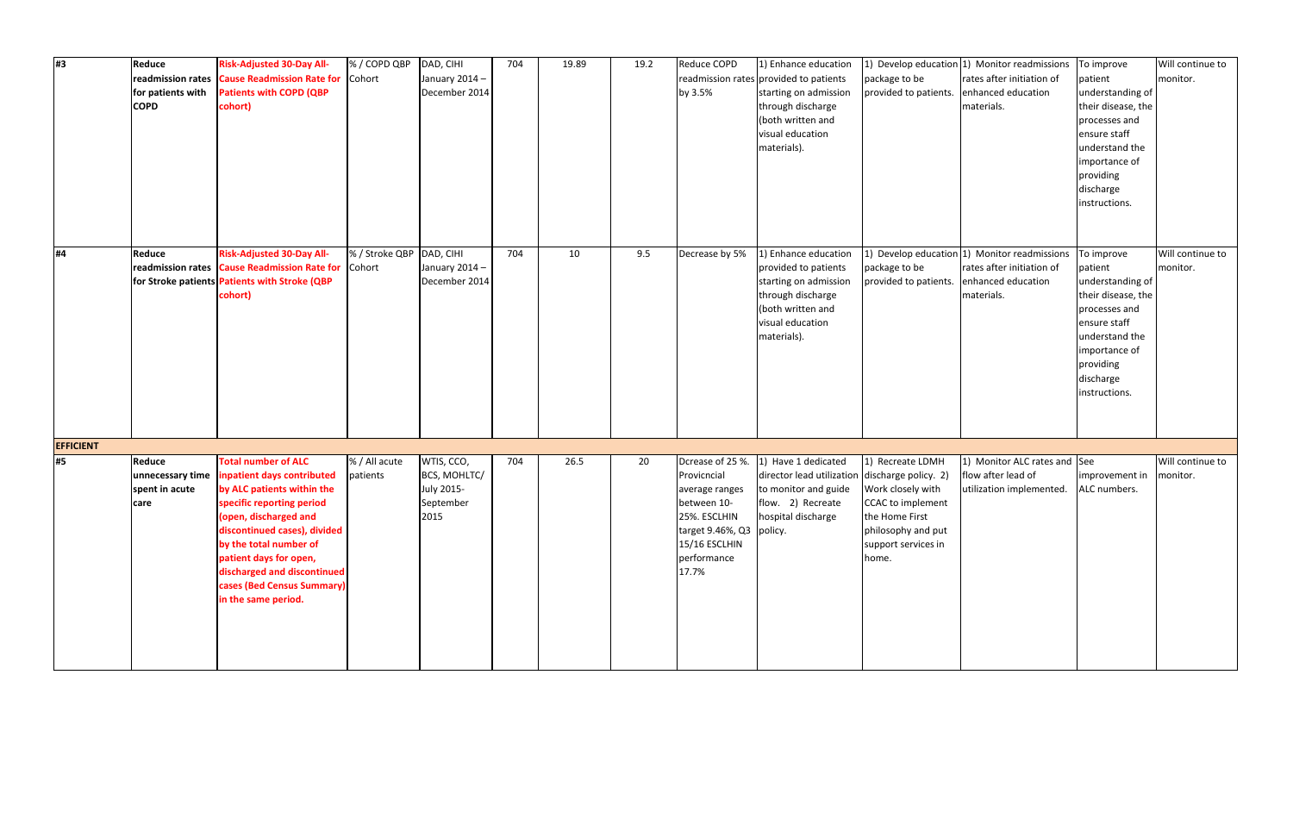| #3               | Reduce<br>readmission rates<br>for patients with<br><b>COPD</b> | <b>Risk-Adjusted 30-Day All-</b><br>Cause Readmission Rate for Cohort<br>Patients with COPD (QBP<br>cohort)                                                                                                                                                                                                          | % / COPD QBP               | DAD, CIHI<br>January 2014 -<br>December 2014                  | 704 | 19.89 | 19.2 | Reduce COPD<br>by 3.5%                                                                                                            | 1) Enhance education<br>readmission rates provided to patients<br>starting on admission<br>through discharge<br>both written and<br>visual education<br>materials). | package to be<br>provided to patients.                                                                                             | 1) Develop education 1) Monitor readmissions<br>rates after initiation of<br>enhanced education<br>materials. | To improve<br>patient<br>understanding of<br>their disease, the<br>processes and<br>ensure staff<br>understand the<br>importance of<br>providing<br>discharge<br>instructions. | Will continue to<br>monitor. |
|------------------|-----------------------------------------------------------------|----------------------------------------------------------------------------------------------------------------------------------------------------------------------------------------------------------------------------------------------------------------------------------------------------------------------|----------------------------|---------------------------------------------------------------|-----|-------|------|-----------------------------------------------------------------------------------------------------------------------------------|---------------------------------------------------------------------------------------------------------------------------------------------------------------------|------------------------------------------------------------------------------------------------------------------------------------|---------------------------------------------------------------------------------------------------------------|--------------------------------------------------------------------------------------------------------------------------------------------------------------------------------|------------------------------|
| #4               | <b>Reduce</b><br>readmission rates                              | <b>Risk-Adjusted 30-Day All-</b><br><b>Cause Readmission Rate for Cohort</b><br>for Stroke patients Patients with Stroke (QBP<br>cohort)                                                                                                                                                                             | % / Stroke QBP   DAD, CIHI | January 2014-<br>December 2014                                | 704 | 10    | 9.5  | Decrease by 5%                                                                                                                    | 1) Enhance education<br>provided to patients<br>starting on admission<br>through discharge<br>both written and<br>visual education<br>materials).                   | package to be<br>provided to patients.                                                                                             | 1) Develop education 1) Monitor readmissions<br>rates after initiation of<br>enhanced education<br>materials. | To improve<br>patient<br>understanding of<br>their disease, the<br>processes and<br>ensure staff<br>understand the<br>importance of<br>providing<br>discharge<br>instructions. | Will continue to<br>monitor. |
| <b>EFFICIENT</b> |                                                                 |                                                                                                                                                                                                                                                                                                                      |                            |                                                               |     |       |      |                                                                                                                                   |                                                                                                                                                                     |                                                                                                                                    |                                                                                                               |                                                                                                                                                                                |                              |
| #5               | Reduce<br>unnecessary time<br>spent in acute<br> care           | <b>Total number of ALC</b><br>inpatient days contributed<br>by ALC patients within the<br>specific reporting period<br>(open, discharged and<br>discontinued cases), divided<br>by the total number of<br>patient days for open,<br>discharged and discontinued<br>cases (Bed Census Summary)<br>in the same period. | % / All acute<br>patients  | WTIS, CCO,<br>BCS, MOHLTC/<br>July 2015-<br>September<br>2015 | 704 | 26.5  | 20   | Provicncial<br>average ranges<br>between 10-<br>25%. ESCLHIN<br>target 9.46%, Q3 policy.<br>15/16 ESCLHIN<br>performance<br>17.7% | Dcrease of 25 %. 1) Have 1 dedicated<br>director lead utilization discharge policy. 2)<br>to monitor and guide<br>flow. 2) Recreate<br>hospital discharge           | 1) Recreate LDMH<br>Work closely with<br>CCAC to implement<br>the Home First<br>philosophy and put<br>support services in<br>home. | 1) Monitor ALC rates and See<br>flow after lead of<br>utilization implemented.                                | improvement in<br>ALC numbers.                                                                                                                                                 | Will continue to<br>monitor. |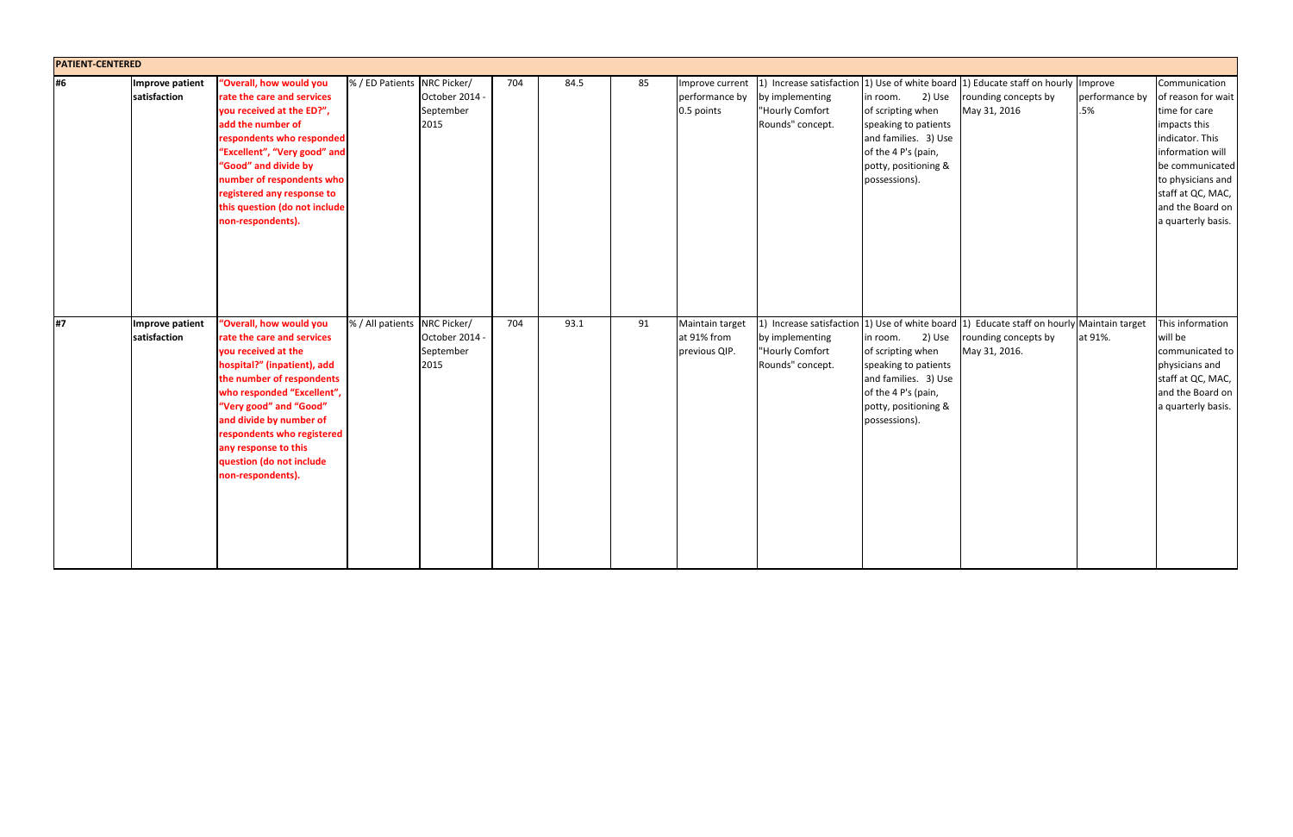| <b>PATIENT-CENTERED</b> |                                 |                                                                                                                                                                                                                                                                                                                                    |                              |                                   |     |      |    |                                                 |                                                        |                                                                                                                                                         |                                                                                                                                    |                                  |                                                                                                                                                                                                                    |
|-------------------------|---------------------------------|------------------------------------------------------------------------------------------------------------------------------------------------------------------------------------------------------------------------------------------------------------------------------------------------------------------------------------|------------------------------|-----------------------------------|-----|------|----|-------------------------------------------------|--------------------------------------------------------|---------------------------------------------------------------------------------------------------------------------------------------------------------|------------------------------------------------------------------------------------------------------------------------------------|----------------------------------|--------------------------------------------------------------------------------------------------------------------------------------------------------------------------------------------------------------------|
| #6                      | Improve patient<br>satisfaction | "Overall, how would you<br>rate the care and services<br>you received at the ED?",<br>add the number of<br>respondents who responded<br>"Excellent", "Very good" and<br>"Good" and divide by<br>number of respondents who<br>registered any response to<br>this question (do not include<br>non-respondents).                      | % / ED Patients NRC Picker/  | October 2014<br>September<br>2015 | 704 | 84.5 | 85 | Improve current<br>performance by<br>0.5 points | by implementing<br>"Hourly Comfort<br>Rounds" concept. | 2) Use<br>in room.<br>of scripting when<br>speaking to patients<br>and families. 3) Use<br>of the 4 P's (pain,<br>potty, positioning &<br>possessions). | 1) Increase satisfaction 1) Use of white board 1) Educate staff on hourly<br>rounding concepts by<br>May 31, 2016                  | Improve<br>performance by<br>.5% | Communication<br>of reason for wait<br>time for care<br>impacts this<br>indicator. This<br>information will<br>be communicated<br>to physicians and<br>staff at QC, MAC,<br>and the Board on<br>a quarterly basis. |
| #7                      | Improve patient<br>satisfaction | "Overall, how would you<br>rate the care and services<br>you received at the<br>hospital?" (inpatient), add<br>the number of respondents<br>who responded "Excellent",<br>"Very good" and "Good"<br>and divide by number of<br>respondents who registered<br>any response to this<br>question (do not include<br>non-respondents). | % / All patients NRC Picker/ | October 2014<br>September<br>2015 | 704 | 93.1 | 91 | Maintain target<br>at 91% from<br>previous QIP. | by implementing<br>"Hourly Comfort<br>Rounds" concept. | 2) Use<br>in room.<br>of scripting when<br>speaking to patients<br>and families. 3) Use<br>of the 4 P's (pain,<br>potty, positioning &<br>possessions). | 1) Increase satisfaction 1) Use of white board 1) Educate staff on hourly Maintain target<br>rounding concepts by<br>May 31, 2016. | at 91%.                          | This information<br>will be<br>communicated to<br>physicians and<br>staff at QC, MAC,<br>and the Board on<br>a quarterly basis.                                                                                    |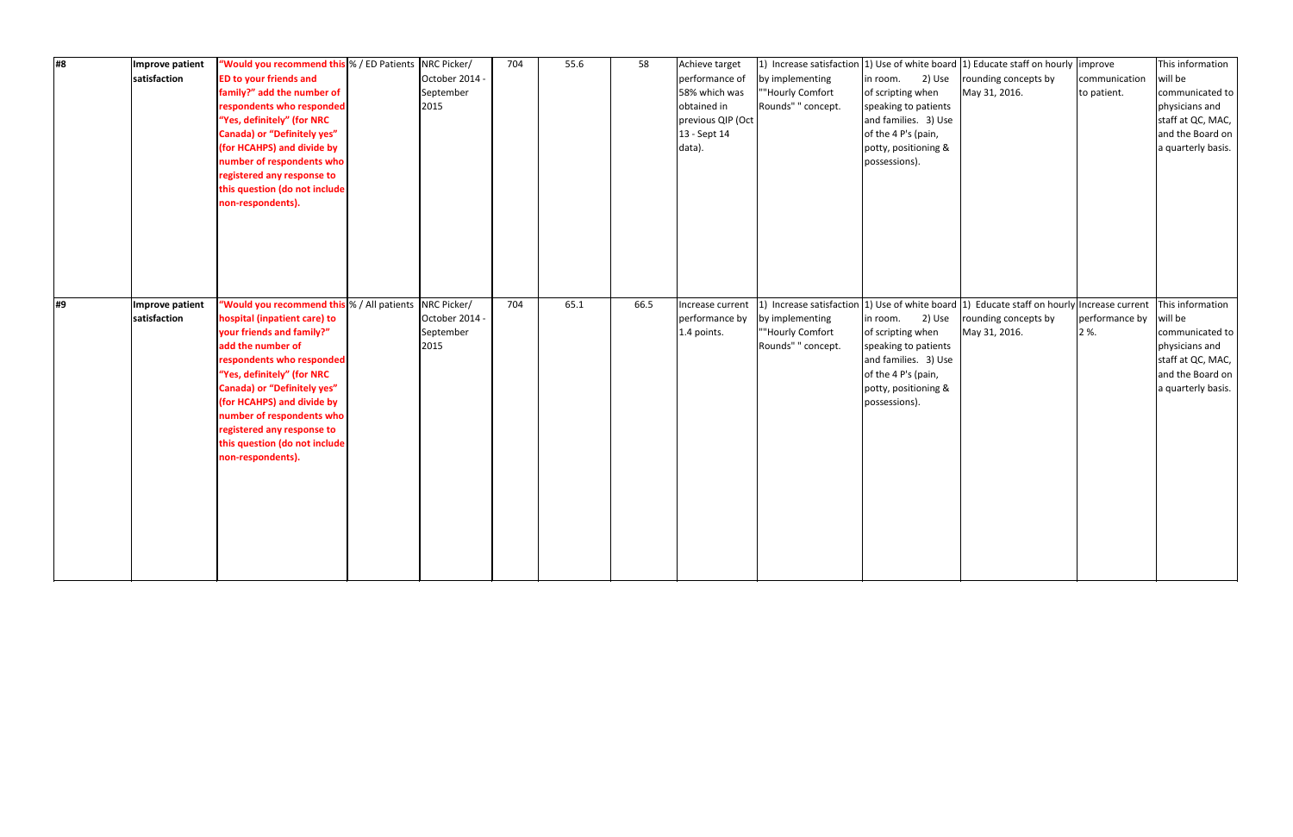| Improve patient<br>#8<br>satisfaction | "Would you recommend this % / ED Patients   NRC Picker/<br><b>ED to your friends and</b><br>family?" add the number of<br>respondents who responded<br>"Yes, definitely" (for NRC<br><b>Canada) or "Definitely yes"</b><br>(for HCAHPS) and divide by<br>number of respondents who<br>registered any response to<br>this question (do not include<br>non-respondents).       | October 2014 -<br>September<br>2015                | 704 | 55.6 | 58   | Achieve target<br>performance of<br>58% which was<br>obtained in<br>previous QIP (Oct<br>13 - Sept 14<br>data). | by implementing<br>""Hourly Comfort<br>Rounds" " concept. | 2) Use<br>in room.<br>of scripting when<br>speaking to patients<br>and families. 3) Use<br>of the 4 P's (pain,<br>potty, positioning &<br>possessions). | 1) Increase satisfaction 1) Use of white board 1) Educate staff on hourly improve<br>rounding concepts by<br>May 31, 2016.                          | communication<br>to patient. | This information<br>will be<br>communicated to<br>physicians and<br>staff at QC, MAC,<br>and the Board on<br>a quarterly basis. |
|---------------------------------------|------------------------------------------------------------------------------------------------------------------------------------------------------------------------------------------------------------------------------------------------------------------------------------------------------------------------------------------------------------------------------|----------------------------------------------------|-----|------|------|-----------------------------------------------------------------------------------------------------------------|-----------------------------------------------------------|---------------------------------------------------------------------------------------------------------------------------------------------------------|-----------------------------------------------------------------------------------------------------------------------------------------------------|------------------------------|---------------------------------------------------------------------------------------------------------------------------------|
| #9<br>Improve patient<br>satisfaction | "Would you recommend this % / All patients<br>hospital (inpatient care) to<br>your friends and family?"<br>add the number of<br>respondents who responded<br>"Yes, definitely" (for NRC<br><b>Canada) or "Definitely yes"</b><br>(for HCAHPS) and divide by<br>number of respondents who<br>registered any response to<br>this question (do not include<br>non-respondents). | NRC Picker/<br>October 2014 -<br>September<br>2015 | 704 | 65.1 | 66.5 | Increase current<br>performance by<br>1.4 points.                                                               | by implementing<br>""Hourly Comfort<br>Rounds" " concept. | in room. 2) Use<br>of scripting when<br>speaking to patients<br>and families. 3) Use<br>of the 4 P's (pain,<br>potty, positioning &<br>possessions).    | 1) Increase satisfaction $\vert$ 1) Use of white board $\vert$ 1) Educate staff on hourly Increase current<br>rounding concepts by<br>May 31, 2016. | performance by<br>2 %.       | This information<br>will be<br>communicated to<br>physicians and<br>staff at QC, MAC,<br>and the Board on<br>a quarterly basis. |